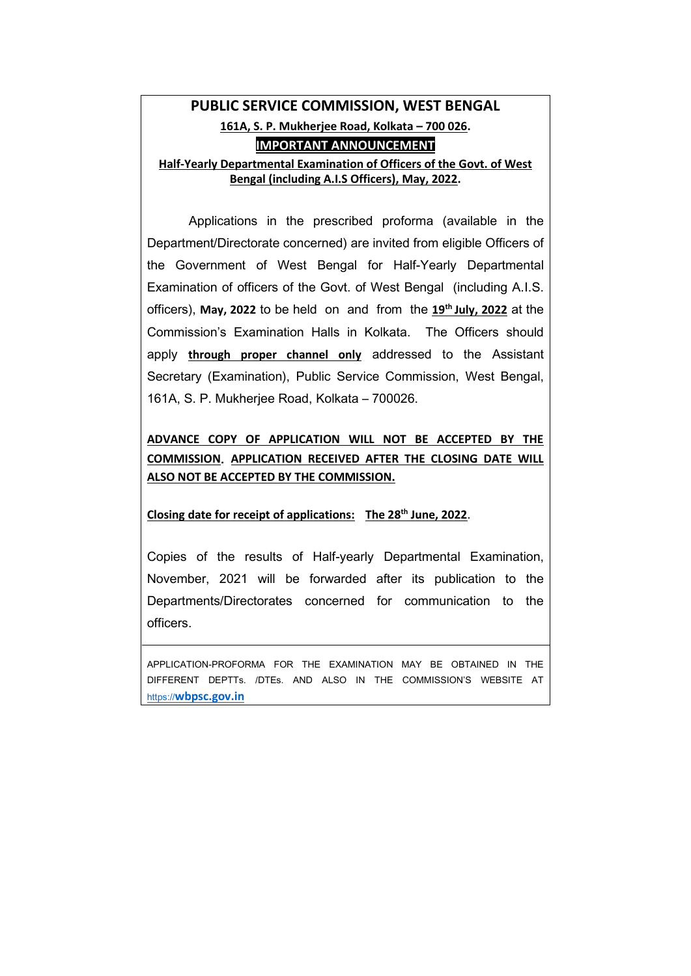# **PUBLIC SERVICE COMMISSION, WEST BENGAL 161A, S. P. Mukherjee Road, Kolkata – 700 026. IMPORTANT ANNOUNCEMENT Half-Yearly Departmental Examination of Officers of the Govt. of West Bengal (including A.I.S Officers), May, 2022.**

Applications in the prescribed proforma (available in the Department/Directorate concerned) are invited from eligible Officers of the Government of West Bengal for Half-Yearly Departmental Examination of officers of the Govt. of West Bengal (including A.I.S. officers), **May, 2022** to be held on and from the **19th July, 2022** at the Commission's Examination Halls in Kolkata. The Officers should apply **through proper channel only** addressed to the Assistant Secretary (Examination), Public Service Commission, West Bengal, 161A, S. P. Mukherjee Road, Kolkata – 700026.

**ADVANCE COPY OF APPLICATION WILL NOT BE ACCEPTED BY THE COMMISSION**. **APPLICATION RECEIVED AFTER THE CLOSING DATE WILL ALSO NOT BE ACCEPTED BY THE COMMISSION.**

#### **Closing date for receipt of applications: The 28th June, 2022**.

Copies of the results of Half-yearly Departmental Examination, November, 2021 will be forwarded after its publication to the Departments/Directorates concerned for communication to the officers.

APPLICATION-PROFORMA FOR THE EXAMINATION MAY BE OBTAINED IN THE DIFFERENT DEPTTs. /DTEs. AND ALSO IN THE COMMISSION'S WEBSITE AT https://**[wbpsc.gov.in](https://wbpsc.gov.in/)**